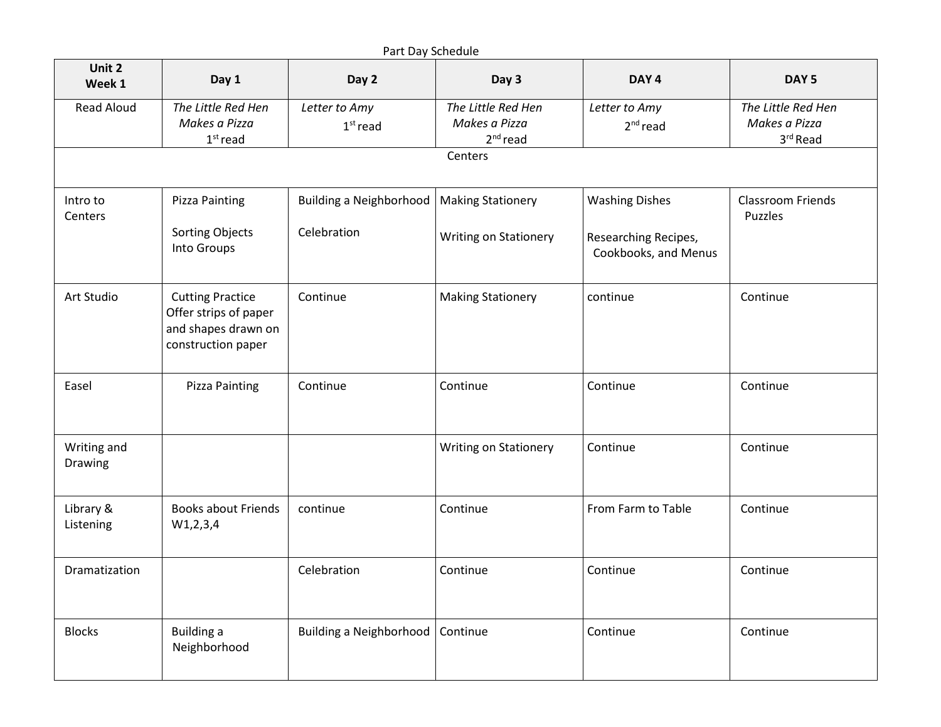|                        | Part Day Schedule                                                                             |                                             |                                                   |                                              |                                                 |  |  |  |  |  |
|------------------------|-----------------------------------------------------------------------------------------------|---------------------------------------------|---------------------------------------------------|----------------------------------------------|-------------------------------------------------|--|--|--|--|--|
| Unit 2<br>Week 1       | Day 1                                                                                         | Day 2                                       | Day 3                                             | DAY <sub>4</sub>                             | DAY <sub>5</sub>                                |  |  |  |  |  |
| <b>Read Aloud</b>      | The Little Red Hen<br>Makes a Pizza<br>$1st$ read                                             | Letter to Amy<br>$1st$ read                 | The Little Red Hen<br>Makes a Pizza<br>$2nd$ read | Letter to Amy<br>$2nd$ read                  | The Little Red Hen<br>Makes a Pizza<br>3rd Read |  |  |  |  |  |
|                        |                                                                                               |                                             | Centers                                           |                                              |                                                 |  |  |  |  |  |
| Intro to<br>Centers    | Pizza Painting                                                                                | Building a Neighborhood   Making Stationery |                                                   | <b>Washing Dishes</b>                        | <b>Classroom Friends</b><br>Puzzles             |  |  |  |  |  |
|                        | <b>Sorting Objects</b><br>Into Groups                                                         | Celebration                                 | Writing on Stationery                             | Researching Recipes,<br>Cookbooks, and Menus |                                                 |  |  |  |  |  |
| Art Studio             | <b>Cutting Practice</b><br>Offer strips of paper<br>and shapes drawn on<br>construction paper | Continue                                    | <b>Making Stationery</b>                          | continue                                     | Continue                                        |  |  |  |  |  |
| Easel                  | <b>Pizza Painting</b>                                                                         | Continue                                    | Continue                                          | Continue                                     | Continue                                        |  |  |  |  |  |
| Writing and<br>Drawing |                                                                                               |                                             | <b>Writing on Stationery</b>                      | Continue                                     | Continue                                        |  |  |  |  |  |
| Library &<br>Listening | <b>Books about Friends</b><br>W1, 2, 3, 4                                                     | continue                                    | Continue                                          | From Farm to Table                           | Continue                                        |  |  |  |  |  |
| Dramatization          |                                                                                               | Celebration                                 | Continue                                          | Continue                                     | Continue                                        |  |  |  |  |  |
| <b>Blocks</b>          | <b>Building a</b><br>Neighborhood                                                             | Building a Neighborhood   Continue          |                                                   | Continue                                     | Continue                                        |  |  |  |  |  |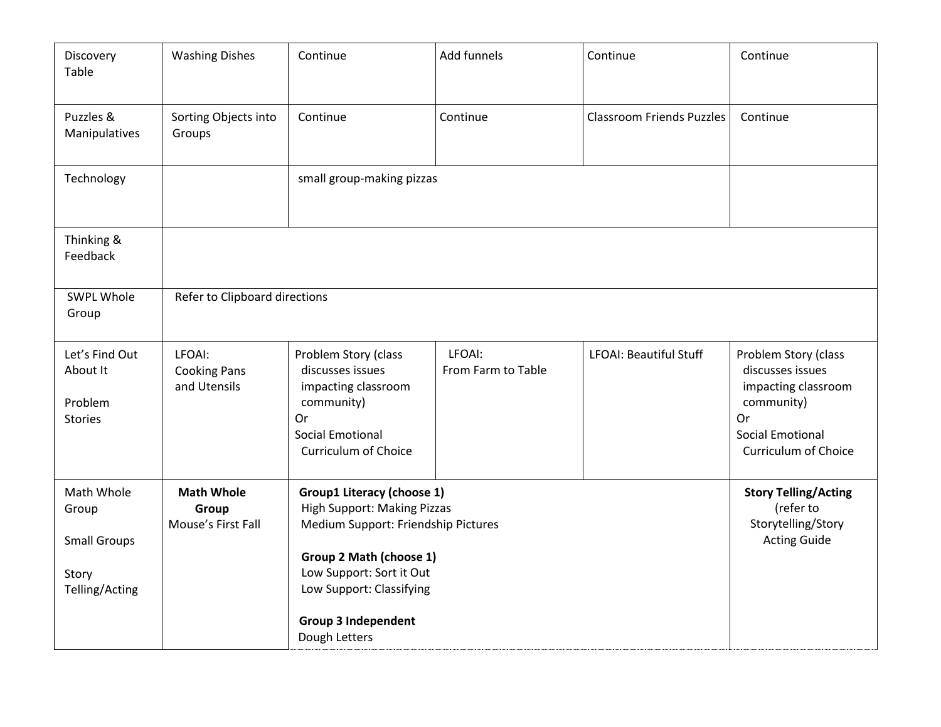| Discovery<br>Table                                                    | <b>Washing Dishes</b>                            | Continue                                                                                                                                                                                                                                         | Add funnels                  | Continue                         | Continue                                                                                                                               |  |
|-----------------------------------------------------------------------|--------------------------------------------------|--------------------------------------------------------------------------------------------------------------------------------------------------------------------------------------------------------------------------------------------------|------------------------------|----------------------------------|----------------------------------------------------------------------------------------------------------------------------------------|--|
| Puzzles &<br>Manipulatives                                            | Sorting Objects into<br>Groups                   | Continue                                                                                                                                                                                                                                         | Continue                     | <b>Classroom Friends Puzzles</b> | Continue                                                                                                                               |  |
| Technology                                                            |                                                  | small group-making pizzas                                                                                                                                                                                                                        |                              |                                  |                                                                                                                                        |  |
| Thinking &<br>Feedback                                                |                                                  |                                                                                                                                                                                                                                                  |                              |                                  |                                                                                                                                        |  |
| SWPL Whole<br>Group                                                   | Refer to Clipboard directions                    |                                                                                                                                                                                                                                                  |                              |                                  |                                                                                                                                        |  |
| Let's Find Out<br>About It<br>Problem<br><b>Stories</b>               | LFOAI:<br><b>Cooking Pans</b><br>and Utensils    | Problem Story (class<br>discusses issues<br>impacting classroom<br>community)<br>Or<br><b>Social Emotional</b><br><b>Curriculum of Choice</b>                                                                                                    | LFOAI:<br>From Farm to Table | <b>LFOAI: Beautiful Stuff</b>    | Problem Story (class<br>discusses issues<br>impacting classroom<br>community)<br>Or<br><b>Social Emotional</b><br>Curriculum of Choice |  |
| Math Whole<br>Group<br><b>Small Groups</b><br>Story<br>Telling/Acting | <b>Math Whole</b><br>Group<br>Mouse's First Fall | <b>Group1 Literacy (choose 1)</b><br><b>High Support: Making Pizzas</b><br>Medium Support: Friendship Pictures<br>Group 2 Math (choose 1)<br>Low Support: Sort it Out<br>Low Support: Classifying<br><b>Group 3 Independent</b><br>Dough Letters |                              |                                  | <b>Story Telling/Acting</b><br>(refer to<br>Storytelling/Story<br><b>Acting Guide</b>                                                  |  |